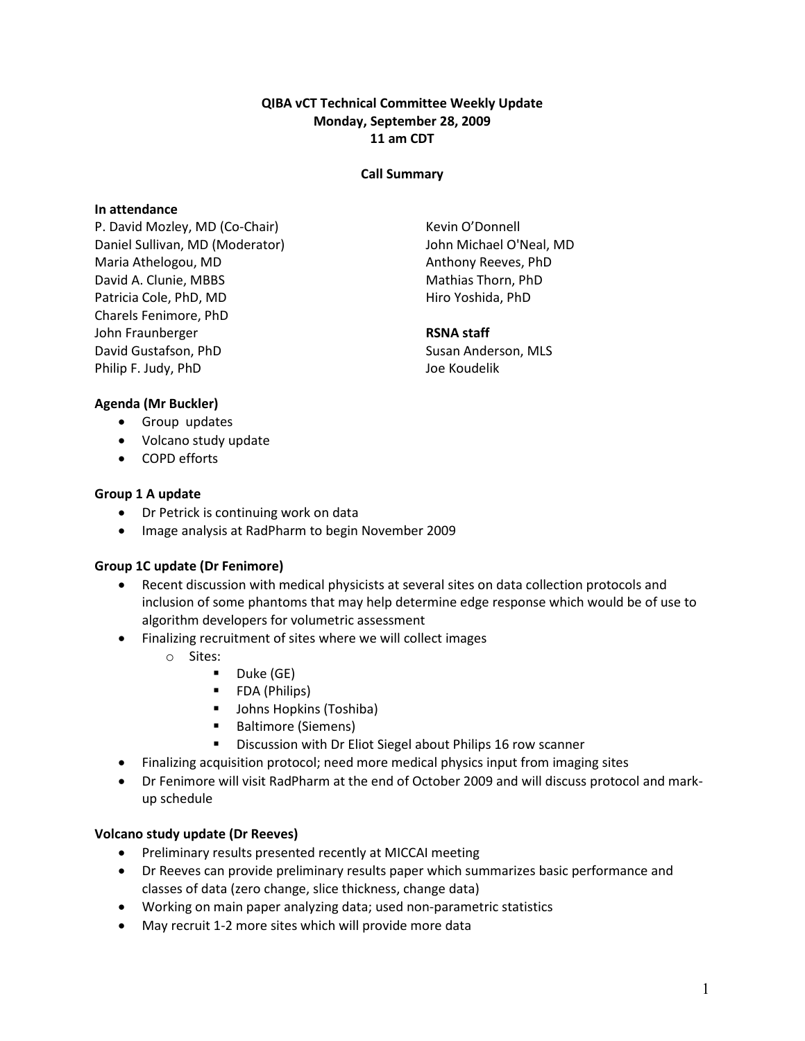## QIBA vCT Technical Committee Weekly Update Monday, September 28, 2009 11 am CDT

#### Call Summary

#### In attendance

P. David Mozley, MD (Co-Chair) Daniel Sullivan, MD (Moderator) Maria Athelogou, MD David A. Clunie, MBBS Patricia Cole, PhD, MD Charels Fenimore, PhD John Fraunberger David Gustafson, PhD Philip F. Judy, PhD

Kevin O'Donnell John Michael O'Neal, MD Anthony Reeves, PhD Mathias Thorn, PhD Hiro Yoshida, PhD

#### RSNA staff

Susan Anderson, MLS Joe Koudelik

## Agenda (Mr Buckler)

- Group updates
- Volcano study update
- COPD efforts

# Group 1 A update

- Dr Petrick is continuing work on data
- Image analysis at RadPharm to begin November 2009

## Group 1C update (Dr Fenimore)

- Recent discussion with medical physicists at several sites on data collection protocols and inclusion of some phantoms that may help determine edge response which would be of use to algorithm developers for volumetric assessment
- Finalizing recruitment of sites where we will collect images
	- o Sites:
		- $\blacksquare$  Duke (GE)
		- **FDA** (Philips)
		- **Johns Hopkins (Toshiba)**
		- **Baltimore (Siemens)**
		- **Discussion with Dr Eliot Siegel about Philips 16 row scanner**
- Finalizing acquisition protocol; need more medical physics input from imaging sites
- Dr Fenimore will visit RadPharm at the end of October 2009 and will discuss protocol and markup schedule

## Volcano study update (Dr Reeves)

- Preliminary results presented recently at MICCAI meeting
- Dr Reeves can provide preliminary results paper which summarizes basic performance and classes of data (zero change, slice thickness, change data)
- Working on main paper analyzing data; used non-parametric statistics
- May recruit 1-2 more sites which will provide more data